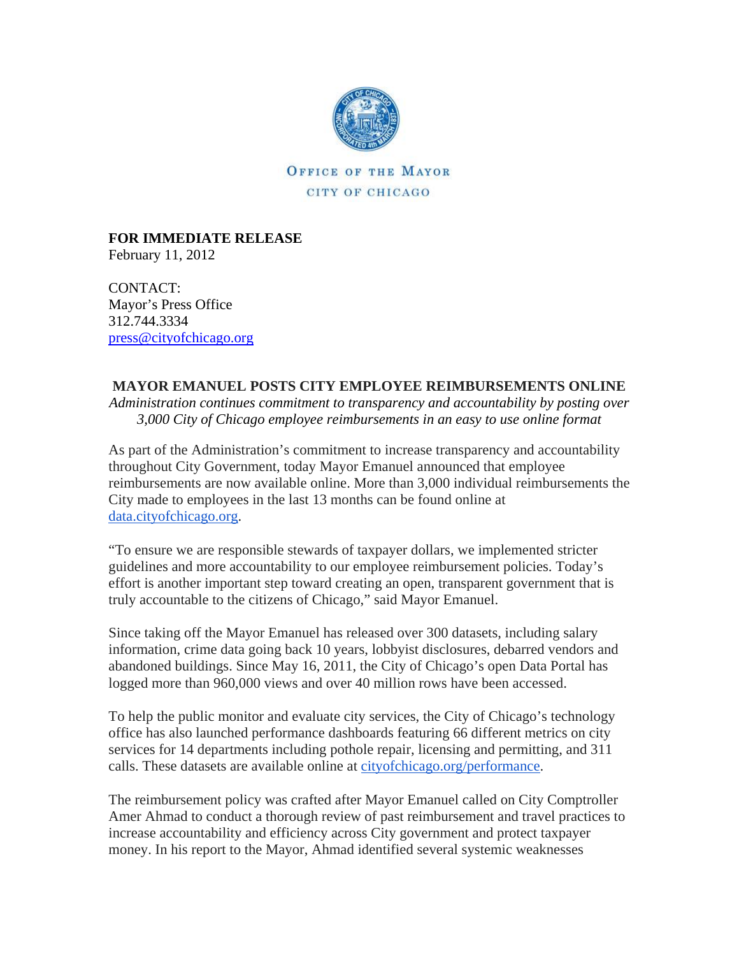

**OFFICE OF THE MAYOR** CITY OF CHICAGO

**FOR IMMEDIATE RELEASE**  February 11, 2012

CONTACT: Mayor's Press Office 312.744.3334 [press@cityofchicago.org](https://connect.cityofchicago.org/owa/,DanaInfo=basicauth.cityofchicago.local,SSL+redir.aspx?C=6e6f2308690d4bebb6e27ccad35dfa87&URL=mailto%3apress%40cityofchicago.org)

## **MAYOR EMANUEL POSTS CITY EMPLOYEE REIMBURSEMENTS ONLINE**

*Administration continues commitment to transparency and accountability by posting over 3,000 City of Chicago employee reimbursements in an easy to use online format*

As part of the Administration's commitment to increase transparency and accountability throughout City Government, today Mayor Emanuel announced that employee reimbursements are now available online. More than 3,000 individual reimbursements the City made to employees in the last 13 months can be found online at [data.cityofchicago.org](http://data.cityofchicago.org/).

"To ensure we are responsible stewards of taxpayer dollars, we implemented stricter guidelines and more accountability to our employee reimbursement policies. Today's effort is another important step toward creating an open, transparent government that is truly accountable to the citizens of Chicago," said Mayor Emanuel.

Since taking off the Mayor Emanuel has released over 300 datasets, including salary information, crime data going back 10 years, lobbyist disclosures, debarred vendors and abandoned buildings. Since May 16, 2011, the City of Chicago's open Data Portal has logged more than 960,000 views and over 40 million rows have been accessed.

To help the public monitor and evaluate city services, the City of Chicago's technology office has also launched performance dashboards featuring 66 different metrics on city services for 14 departments including pothole repair, licensing and permitting, and 311 calls. These datasets are available online at [cityofchicago.org/performance.](http://cityofchicago.org/performance)

The reimbursement policy was crafted after Mayor Emanuel called on City Comptroller Amer Ahmad to conduct a thorough review of past reimbursement and travel practices to increase accountability and efficiency across City government and protect taxpayer money. In his report to the Mayor, Ahmad identified several systemic weaknesses